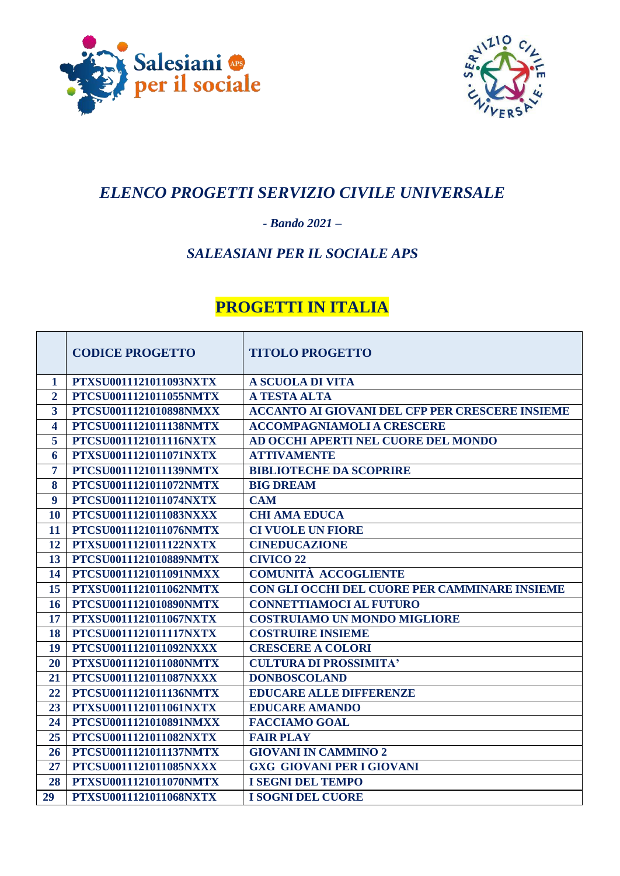



## ELENCO PROGETTI SERVIZIO CIVILE UNIVERSALE

## $-$  Bando 2021  $-$

## **SALEASIANI PER IL SOCIALE APS**

## **PROGETTI IN ITALIA**

|                | <b>CODICE PROGETTO</b> | <b>TITOLO PROGETTO</b>                                 |
|----------------|------------------------|--------------------------------------------------------|
| 1              | PTXSU0011121011093NXTX | <b>A SCUOLA DI VITA</b>                                |
| $\overline{2}$ | PTCSU0011121011055NMTX | A TESTA ALTA                                           |
| 3              | PTCSU0011121010898NMXX | <b>ACCANTO AI GIOVANI DEL CFP PER CRESCERE INSIEME</b> |
| 4              | PTCSU0011121011138NMTX | <b>ACCOMPAGNIAMOLI A CRESCERE</b>                      |
| 5              | PTCSU0011121011116NXTX | AD OCCHI APERTI NEL CUORE DEL MONDO                    |
| 6              | PTXSU0011121011071NXTX | <b>ATTIVAMENTE</b>                                     |
| 7              | PTCSU0011121011139NMTX | <b>BIBLIOTECHE DA SCOPRIRE</b>                         |
| 8              | PTCSU0011121011072NMTX | <b>BIG DREAM</b>                                       |
| 9              | PTCSU0011121011074NXTX | <b>CAM</b>                                             |
| 10             | PTCSU0011121011083NXXX | <b>CHI AMA EDUCA</b>                                   |
| 11             | PTCSU0011121011076NMTX | <b>CI VUOLE UN FIORE</b>                               |
| 12             | PTXSU0011121011122NXTX | <b>CINEDUCAZIONE</b>                                   |
| 13             | PTCSU0011121010889NMTX | <b>CIVICO 22</b>                                       |
| 14             | PTCSU0011121011091NMXX | <b>COMUNITÀ ACCOGLIENTE</b>                            |
| 15             | PTXSU0011121011062NMTX | CON GLI OCCHI DEL CUORE PER CAMMINARE INSIEME          |
| 16             | PTCSU0011121010890NMTX | <b>CONNETTIAMOCI AL FUTURO</b>                         |
| 17             | PTXSU0011121011067NXTX | <b>COSTRUIAMO UN MONDO MIGLIORE</b>                    |
| 18             | PTCSU0011121011117NXTX | <b>COSTRUIRE INSIEME</b>                               |
| 19             | PTCSU0011121011092NXXX | <b>CRESCERE A COLORI</b>                               |
| 20             | PTXSU0011121011080NMTX | <b>CULTURA DI PROSSIMITA'</b>                          |
| 21             | PTCSU0011121011087NXXX | <b>DONBOSCOLAND</b>                                    |
| 22             | PTCSU0011121011136NMTX | <b>EDUCARE ALLE DIFFERENZE</b>                         |
| 23             | PTXSU0011121011061NXTX | <b>EDUCARE AMANDO</b>                                  |
| 24             | PTCSU0011121010891NMXX | <b>FACCIAMO GOAL</b>                                   |
| 25             | PTCSU0011121011082NXTX | <b>FAIR PLAY</b>                                       |
| 26             | PTCSU0011121011137NMTX | <b>GIOVANI IN CAMMINO 2</b>                            |
| 27             | PTCSU0011121011085NXXX | <b>GXG GIOVANI PER I GIOVANI</b>                       |
| 28             | PTXSU0011121011070NMTX | <b>I SEGNI DEL TEMPO</b>                               |
| 29             | PTXSU0011121011068NXTX | <b>I SOGNI DEL CUORE</b>                               |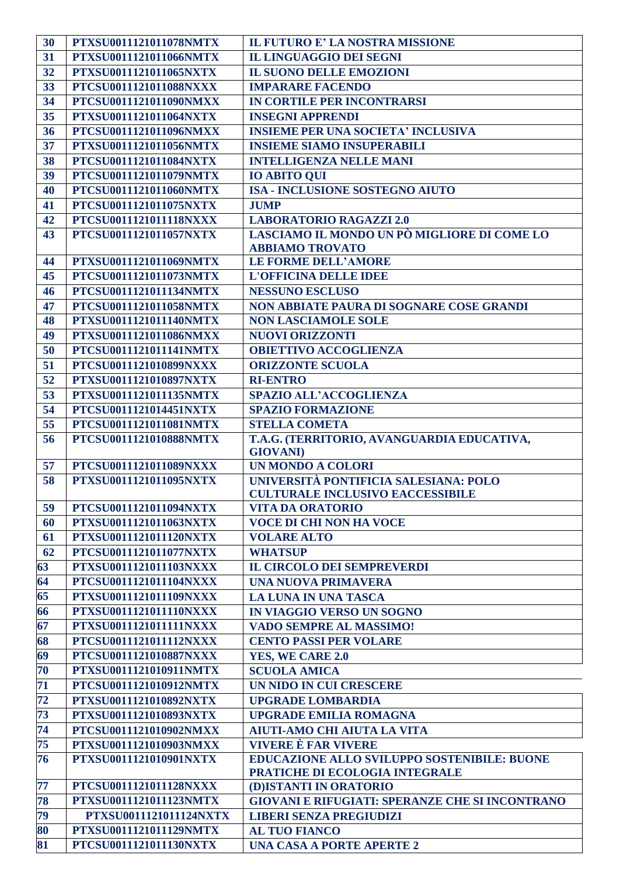| 30 | PTXSU0011121011078NMTX        | <b>IL FUTURO E' LA NOSTRA MISSIONE</b>                 |
|----|-------------------------------|--------------------------------------------------------|
| 31 | PTXSU0011121011066NMTX        | <b>IL LINGUAGGIO DEI SEGNI</b>                         |
| 32 | PTXSU0011121011065NXTX        | <b>IL SUONO DELLE EMOZIONI</b>                         |
| 33 | PTCSU0011121011088NXXX        | <b>IMPARARE FACENDO</b>                                |
| 34 | PTCSU0011121011090NMXX        | <b>IN CORTILE PER INCONTRARSI</b>                      |
| 35 | PTXSU0011121011064NXTX        | <b>INSEGNI APPRENDI</b>                                |
|    |                               |                                                        |
| 36 | PTCSU0011121011096NMXX        | <b>INSIEME PER UNA SOCIETA' INCLUSIVA</b>              |
| 37 | PTXSU0011121011056NMTX        | <b>INSIEME SIAMO INSUPERABILI</b>                      |
| 38 | PTCSU0011121011084NXTX        | <b>INTELLIGENZA NELLE MANI</b>                         |
| 39 | PTCSU0011121011079NMTX        | <b>IO ABITO QUI</b>                                    |
| 40 | PTCSU0011121011060NMTX        | <b>ISA - INCLUSIONE SOSTEGNO AIUTO</b>                 |
| 41 | PTCSU0011121011075NXTX        | <b>JUMP</b>                                            |
| 42 | PTCSU0011121011118NXXX        | <b>LABORATORIO RAGAZZI 2.0</b>                         |
| 43 | PTCSU0011121011057NXTX        | LASCIAMO IL MONDO UN PÒ MIGLIORE DI COME LO            |
|    |                               | <b>ABBIAMO TROVATO</b>                                 |
| 44 | PTXSU0011121011069NMTX        | <b>LE FORME DELL'AMORE</b>                             |
| 45 | PTCSU0011121011073NMTX        | <b>L'OFFICINA DELLE IDEE</b>                           |
| 46 | PTCSU0011121011134NMTX        | <b>NESSUNO ESCLUSO</b>                                 |
| 47 | PTCSU0011121011058NMTX        | NON ABBIATE PAURA DI SOGNARE COSE GRANDI               |
| 48 | PTXSU0011121011140NMTX        | <b>NON LASCIAMOLE SOLE</b>                             |
| 49 | PTXSU0011121011086NMXX        | <b>NUOVI ORIZZONTI</b>                                 |
| 50 | PTCSU0011121011141NMTX        | <b>OBIETTIVO ACCOGLIENZA</b>                           |
| 51 | PTCSU0011121010899NXXX        | <b>ORIZZONTE SCUOLA</b>                                |
| 52 | PTXSU0011121010897NXTX        | <b>RI-ENTRO</b>                                        |
| 53 | <b>PTXSU0011121011135NMTX</b> | SPAZIO ALL'ACCOGLIENZA                                 |
| 54 | PTCSU0011121014451NXTX        | <b>SPAZIO FORMAZIONE</b>                               |
| 55 | PTCSU0011121011081NMTX        | <b>STELLA COMETA</b>                                   |
| 56 | PTCSU0011121010888NMTX        | T.A.G. (TERRITORIO, AVANGUARDIA EDUCATIVA,             |
|    |                               | <b>GIOVANI</b> )                                       |
| 57 | PTCSU0011121011089NXXX        | <b>UN MONDO A COLORI</b>                               |
| 58 | PTXSU0011121011095NXTX        | UNIVERSITÀ PONTIFICIA SALESIANA: POLO                  |
|    |                               | <b>CULTURALE INCLUSIVO EACCESSIBILE</b>                |
| 59 | PTCSU0011121011094NXTX        | VITA DA ORATORIO                                       |
| 60 | PTXSU0011121011063NXTX        | <b>VOCE DI CHI NON HA VOCE</b>                         |
| 61 | PTXSU0011121011120NXTX        | <b>VOLARE ALTO</b>                                     |
| 62 | PTCSU0011121011077NXTX        | <b>WHATSUP</b>                                         |
| 63 | PTXSU0011121011103NXXX        | <b>IL CIRCOLO DEI SEMPREVERDI</b>                      |
| 64 | PTCSU0011121011104NXXX        | <b>UNA NUOVA PRIMAVERA</b>                             |
| 65 | PTXSU0011121011109NXXX        | <b>LA LUNA IN UNA TASCA</b>                            |
| 66 | PTXSU0011121011110NXXX        | <b>IN VIAGGIO VERSO UN SOGNO</b>                       |
| 67 | PTXSU0011121011111NXXX        | <b>VADO SEMPRE AL MASSIMO!</b>                         |
| 68 | PTCSU0011121011112NXXX        | <b>CENTO PASSI PER VOLARE</b>                          |
| 69 | PTCSU0011121010887NXXX        | YES, WE CARE 2.0                                       |
| 70 | PTXSU0011121010911NMTX        | <b>SCUOLA AMICA</b>                                    |
|    |                               |                                                        |
| 71 | PTCSU0011121010912NMTX        | <b>UN NIDO IN CUI CRESCERE</b>                         |
| 72 | PTXSU0011121010892NXTX        | <b>UPGRADE LOMBARDIA</b>                               |
| 73 | PTXSU0011121010893NXTX        | <b>UPGRADE EMILIA ROMAGNA</b>                          |
| 74 | PTCSU0011121010902NMXX        | <b>AIUTI-AMO CHI AIUTA LA VITA</b>                     |
| 75 | PTXSU0011121010903NMXX        | <b>VIVERE È FAR VIVERE</b>                             |
| 76 | PTXSU0011121010901NXTX        | <b>EDUCAZIONE ALLO SVILUPPO SOSTENIBILE: BUONE</b>     |
|    |                               | PRATICHE DI ECOLOGIA INTEGRALE                         |
| 77 | PTCSU0011121011128NXXX        | (D)ISTANTI IN ORATORIO                                 |
| 78 | PTXSU0011121011123NMTX        | <b>GIOVANI E RIFUGIATI: SPERANZE CHE SI INCONTRANO</b> |
| 79 | PTXSU0011121011124NXTX        | <b>LIBERI SENZA PREGIUDIZI</b>                         |
| 80 | PTXSU0011121011129NMTX        | <b>AL TUO FIANCO</b>                                   |
| 81 | PTCSU0011121011130NXTX        | <b>UNA CASA A PORTE APERTE 2</b>                       |